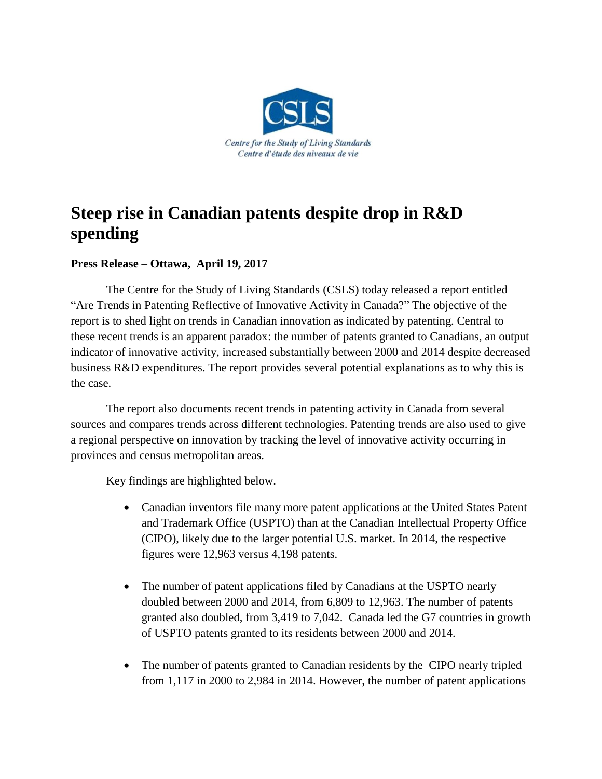

## **Steep rise in Canadian patents despite drop in R&D spending**

## **Press Release – Ottawa, April 19, 2017**

The Centre for the Study of Living Standards (CSLS) today released a report entitled "Are Trends in Patenting Reflective of Innovative Activity in Canada?" The objective of the report is to shed light on trends in Canadian innovation as indicated by patenting. Central to these recent trends is an apparent paradox: the number of patents granted to Canadians, an output indicator of innovative activity, increased substantially between 2000 and 2014 despite decreased business R&D expenditures. The report provides several potential explanations as to why this is the case.

The report also documents recent trends in patenting activity in Canada from several sources and compares trends across different technologies. Patenting trends are also used to give a regional perspective on innovation by tracking the level of innovative activity occurring in provinces and census metropolitan areas.

Key findings are highlighted below.

- Canadian inventors file many more patent applications at the United States Patent and Trademark Office (USPTO) than at the Canadian Intellectual Property Office (CIPO), likely due to the larger potential U.S. market. In 2014, the respective figures were 12,963 versus 4,198 patents.
- The number of patent applications filed by Canadians at the USPTO nearly doubled between 2000 and 2014, from 6,809 to 12,963. The number of patents granted also doubled, from 3,419 to 7,042. Canada led the G7 countries in growth of USPTO patents granted to its residents between 2000 and 2014.
- The number of patents granted to Canadian residents by the CIPO nearly tripled from 1,117 in 2000 to 2,984 in 2014. However, the number of patent applications